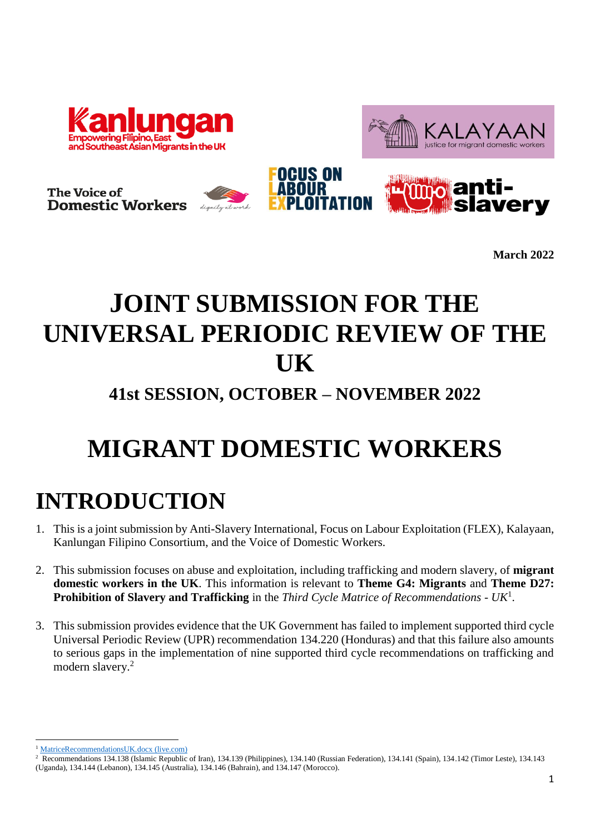





**March 2022**

## **JOINT SUBMISSION FOR THE UNIVERSAL PERIODIC REVIEW OF THE UK**

### **41st SESSION, OCTOBER – NOVEMBER 2022**

# **MIGRANT DOMESTIC WORKERS**

## **INTRODUCTION**

- 1. This is a joint submission by Anti-Slavery International, Focus on Labour Exploitation (FLEX), Kalayaan, Kanlungan Filipino Consortium, and the Voice of Domestic Workers.
- 2. This submission focuses on abuse and exploitation, including trafficking and modern slavery, of **migrant domestic workers in the UK**. This information is relevant to **Theme G4: Migrants** and **Theme D27: Prohibition of Slavery and Trafficking** in the *Third Cycle Matrice of Recommendations - UK*<sup>1</sup> .
- 3. This submission provides evidence that the UK Government has failed to implement supported third cycle Universal Periodic Review (UPR) recommendation 134.220 (Honduras) and that this failure also amounts to serious gaps in the implementation of nine supported third cycle recommendations on trafficking and modern slavery.<sup>2</sup>

**<sup>.</sup>** <sup>1</sup> [MatriceRecommendationsUK.docx \(live.com\)](https://view.officeapps.live.com/op/view.aspx?src=https%3A%2F%2Fwaps.ohchr.org%2Fsites%2Fdefault%2Ffiles%2Flib-docs%2FHRBodies%2FUPR%2FDocuments%2FSession27%2FGB%2FMatriceRecommendationsUK.docx&wdOrigin=BROWSELINK)

<sup>&</sup>lt;sup>2</sup> Recommendations 134.138 (Islamic Republic of Iran), 134.139 (Philippines), 134.140 (Russian Federation), 134.141 (Spain), 134.142 (Timor Leste), 134.143 (Uganda), 134.144 (Lebanon), 134.145 (Australia), 134.146 (Bahrain), and 134.147 (Morocco).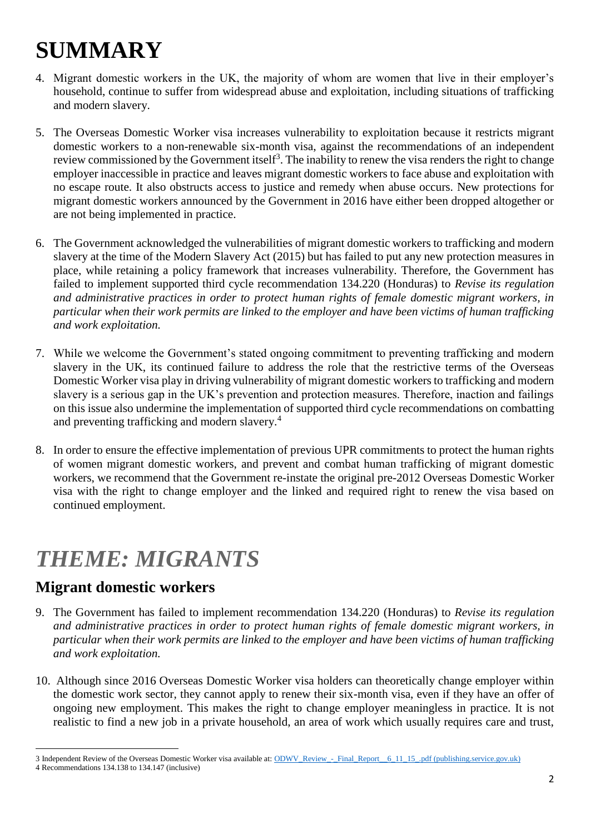# **SUMMARY**

- 4. Migrant domestic workers in the UK, the majority of whom are women that live in their employer's household, continue to suffer from widespread abuse and exploitation, including situations of trafficking and modern slavery.
- 5. The Overseas Domestic Worker visa increases vulnerability to exploitation because it restricts migrant domestic workers to a non-renewable six-month visa, against the recommendations of an independent review commissioned by the Government itself<sup>3</sup>. The inability to renew the visa renders the right to change employer inaccessible in practice and leaves migrant domestic workers to face abuse and exploitation with no escape route. It also obstructs access to justice and remedy when abuse occurs. New protections for migrant domestic workers announced by the Government in 2016 have either been dropped altogether or are not being implemented in practice.
- 6. The Government acknowledged the vulnerabilities of migrant domestic workers to trafficking and modern slavery at the time of the Modern Slavery Act (2015) but has failed to put any new protection measures in place, while retaining a policy framework that increases vulnerability. Therefore, the Government has failed to implement supported third cycle recommendation 134.220 (Honduras) to *Revise its regulation and administrative practices in order to protect human rights of female domestic migrant workers, in particular when their work permits are linked to the employer and have been victims of human trafficking and work exploitation.*
- 7. While we welcome the Government's stated ongoing commitment to preventing trafficking and modern slavery in the UK, its continued failure to address the role that the restrictive terms of the Overseas Domestic Worker visa play in driving vulnerability of migrant domestic workers to trafficking and modern slavery is a serious gap in the UK's prevention and protection measures. Therefore, inaction and failings on this issue also undermine the implementation of supported third cycle recommendations on combatting and preventing trafficking and modern slavery.<sup>4</sup>
- 8. In order to ensure the effective implementation of previous UPR commitments to protect the human rights of women migrant domestic workers, and prevent and combat human trafficking of migrant domestic workers, we recommend that the Government re-instate the original pre-2012 Overseas Domestic Worker visa with the right to change employer and the linked and required right to renew the visa based on continued employment.

## *THEME: MIGRANTS*

### **Migrant domestic workers**

- 9. The Government has failed to implement recommendation 134.220 (Honduras) to *Revise its regulation and administrative practices in order to protect human rights of female domestic migrant workers, in particular when their work permits are linked to the employer and have been victims of human trafficking and work exploitation.*
- 10. Although since 2016 Overseas Domestic Worker visa holders can theoretically change employer within the domestic work sector, they cannot apply to renew their six-month visa, even if they have an offer of ongoing new employment. This makes the right to change employer meaningless in practice. It is not realistic to find a new job in a private household, an area of work which usually requires care and trust,

<sup>1</sup> 3 Independent Review of the Overseas Domestic Worker visa available at[: ODWV\\_Review\\_-\\_Final\\_Report\\_\\_6\\_11\\_15\\_.pdf \(publishing.service.gov.uk\)](https://assets.publishing.service.gov.uk/government/uploads/system/uploads/attachment_data/file/486532/ODWV_Review_-_Final_Report__6_11_15_.pdf)

<sup>4</sup> Recommendations 134.138 to 134.147 (inclusive)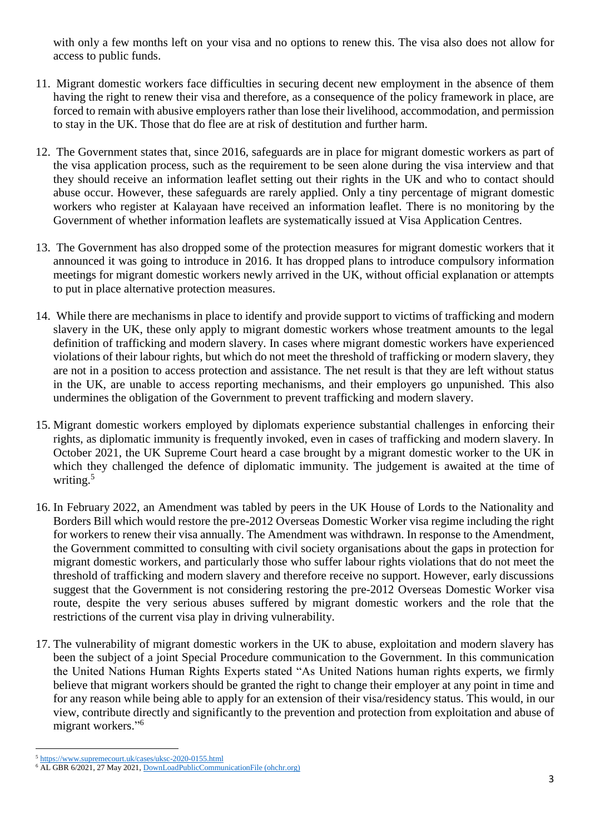with only a few months left on your visa and no options to renew this. The visa also does not allow for access to public funds.

- 11. Migrant domestic workers face difficulties in securing decent new employment in the absence of them having the right to renew their visa and therefore, as a consequence of the policy framework in place, are forced to remain with abusive employers rather than lose their livelihood, accommodation, and permission to stay in the UK. Those that do flee are at risk of destitution and further harm.
- 12. The Government states that, since 2016, safeguards are in place for migrant domestic workers as part of the visa application process, such as the requirement to be seen alone during the visa interview and that they should receive an information leaflet setting out their rights in the UK and who to contact should abuse occur. However, these safeguards are rarely applied. Only a tiny percentage of migrant domestic workers who register at Kalayaan have received an information leaflet. There is no monitoring by the Government of whether information leaflets are systematically issued at Visa Application Centres.
- 13. The Government has also dropped some of the protection measures for migrant domestic workers that it announced it was going to introduce in 2016. It has dropped plans to introduce compulsory information meetings for migrant domestic workers newly arrived in the UK, without official explanation or attempts to put in place alternative protection measures.
- 14. While there are mechanisms in place to identify and provide support to victims of trafficking and modern slavery in the UK, these only apply to migrant domestic workers whose treatment amounts to the legal definition of trafficking and modern slavery. In cases where migrant domestic workers have experienced violations of their labour rights, but which do not meet the threshold of trafficking or modern slavery, they are not in a position to access protection and assistance. The net result is that they are left without status in the UK, are unable to access reporting mechanisms, and their employers go unpunished. This also undermines the obligation of the Government to prevent trafficking and modern slavery.
- 15. Migrant domestic workers employed by diplomats experience substantial challenges in enforcing their rights, as diplomatic immunity is frequently invoked, even in cases of trafficking and modern slavery. In October 2021, the UK Supreme Court heard a case brought by a migrant domestic worker to the UK in which they challenged the defence of diplomatic immunity. The judgement is awaited at the time of writing.<sup>5</sup>
- 16. In February 2022, an Amendment was tabled by peers in the UK House of Lords to the Nationality and Borders Bill which would restore the pre-2012 Overseas Domestic Worker visa regime including the right for workers to renew their visa annually. The Amendment was withdrawn. In response to the Amendment, the Government committed to consulting with civil society organisations about the gaps in protection for migrant domestic workers, and particularly those who suffer labour rights violations that do not meet the threshold of trafficking and modern slavery and therefore receive no support. However, early discussions suggest that the Government is not considering restoring the pre-2012 Overseas Domestic Worker visa route, despite the very serious abuses suffered by migrant domestic workers and the role that the restrictions of the current visa play in driving vulnerability.
- 17. The vulnerability of migrant domestic workers in the UK to abuse, exploitation and modern slavery has been the subject of a joint Special Procedure communication to the Government. In this communication the United Nations Human Rights Experts stated "As United Nations human rights experts, we firmly believe that migrant workers should be granted the right to change their employer at any point in time and for any reason while being able to apply for an extension of their visa/residency status. This would, in our view, contribute directly and significantly to the prevention and protection from exploitation and abuse of migrant workers."<sup>6</sup>

<sup>1</sup> <sup>5</sup> <https://www.supremecourt.uk/cases/uksc-2020-0155.html>

<sup>6</sup> AL GBR 6/2021, 27 May 2021[, DownLoadPublicCommunicationFile \(ohchr.org\)](https://spcommreports.ohchr.org/TMResultsBase/DownLoadPublicCommunicationFile?gId=26423)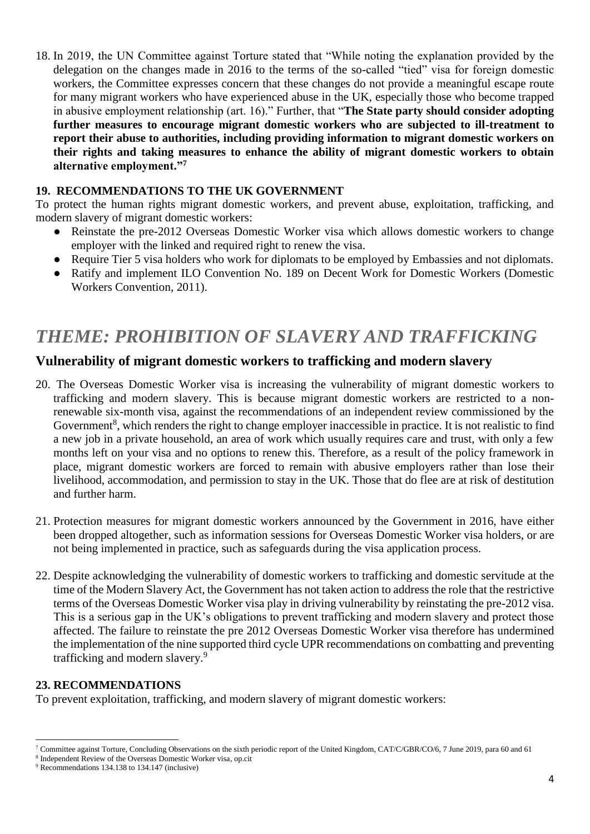18. In 2019, the UN Committee against Torture stated that "While noting the explanation provided by the delegation on the changes made in 2016 to the terms of the so-called "tied" visa for foreign domestic workers, the Committee expresses concern that these changes do not provide a meaningful escape route for many migrant workers who have experienced abuse in the UK, especially those who become trapped in abusive employment relationship (art. 16)." Further, that "**The State party should consider adopting further measures to encourage migrant domestic workers who are subjected to ill-treatment to report their abuse to authorities, including providing information to migrant domestic workers on their rights and taking measures to enhance the ability of migrant domestic workers to obtain alternative employment."<sup>7</sup>**

#### **19. RECOMMENDATIONS TO THE UK GOVERNMENT**

To protect the human rights migrant domestic workers, and prevent abuse, exploitation, trafficking, and modern slavery of migrant domestic workers:

- Reinstate the pre-2012 Overseas Domestic Worker visa which allows domestic workers to change employer with the linked and required right to renew the visa.
- Require Tier 5 visa holders who work for diplomats to be employed by Embassies and not diplomats.
- Ratify and implement ILO Convention No. 189 on Decent Work for Domestic Workers (Domestic Workers Convention, 2011).

### *THEME: PROHIBITION OF SLAVERY AND TRAFFICKING*

#### **Vulnerability of migrant domestic workers to trafficking and modern slavery**

- 20. The Overseas Domestic Worker visa is increasing the vulnerability of migrant domestic workers to trafficking and modern slavery. This is because migrant domestic workers are restricted to a nonrenewable six-month visa, against the recommendations of an independent review commissioned by the Government<sup>8</sup>, which renders the right to change employer inaccessible in practice. It is not realistic to find a new job in a private household, an area of work which usually requires care and trust, with only a few months left on your visa and no options to renew this. Therefore, as a result of the policy framework in place, migrant domestic workers are forced to remain with abusive employers rather than lose their livelihood, accommodation, and permission to stay in the UK. Those that do flee are at risk of destitution and further harm.
- 21. Protection measures for migrant domestic workers announced by the Government in 2016, have either been dropped altogether, such as information sessions for Overseas Domestic Worker visa holders, or are not being implemented in practice, such as safeguards during the visa application process.
- 22. Despite acknowledging the vulnerability of domestic workers to trafficking and domestic servitude at the time of the Modern Slavery Act, the Government has not taken action to address the role that the restrictive terms of the Overseas Domestic Worker visa play in driving vulnerability by reinstating the pre-2012 visa. This is a serious gap in the UK's obligations to prevent trafficking and modern slavery and protect those affected. The failure to reinstate the pre 2012 Overseas Domestic Worker visa therefore has undermined the implementation of the nine supported third cycle UPR recommendations on combatting and preventing trafficking and modern slavery.<sup>9</sup>

#### **23. RECOMMENDATIONS**

To prevent exploitation, trafficking, and modern slavery of migrant domestic workers:

**<sup>.</sup>** <sup>7</sup> Committee against Torture, Concluding Observations on the sixth periodic report of the United Kingdom, CAT/C/GBR/CO/6, 7 June 2019, para 60 and 61

<sup>8</sup> Independent Review of the Overseas Domestic Worker visa, op.cit

<sup>9</sup> Recommendations 134.138 to 134.147 (inclusive)